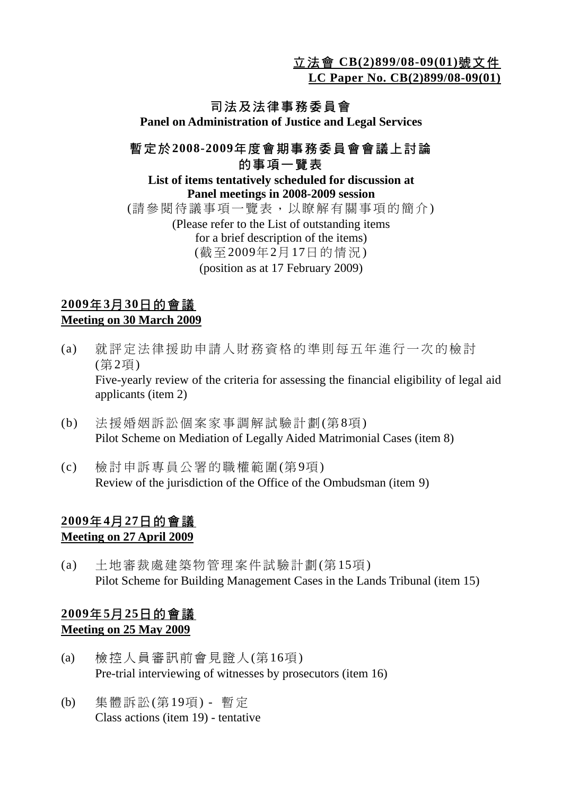立法會 **CB(2)899/08-09(01)**號文件

**LC Paper No. CB(2)899/08-09(01)**

## 司法及法律事務委員會

**Panel on Administration of Justice and Legal Services** 

#### 暫定於**2008-2009**年度會期事務委員會會議上討論 的事項一覽表

**List of items tentatively scheduled for discussion at Panel meetings in 2008-2009 session**  (請參閱待議事項一覽表,以瞭解有關事項的簡介) (Please refer to the List of outstanding items for a brief description of the items) (截至2009年2月17日的情況) (position as at 17 February 2009)

#### **2009**年**3**月**30**日的會議 **Meeting on 30 March 2009**

- (a) 就評定法律援助申請人財務資格的準則每五年進行一次的檢討 (第2項) Five-yearly review of the criteria for assessing the financial eligibility of legal aid applicants (item 2)
- (b) 法援婚姻訴訟個案家事調解試驗計劃(第8項) Pilot Scheme on Mediation of Legally Aided Matrimonial Cases (item 8)
- (c) 檢討申訴專員公署的職權範圍(第9項) Review of the jurisdiction of the Office of the Ombudsman (item 9)

# **2009**年**4**月**27**日的會議

- **Meeting on 27 April 2009**
- (a) 土地審裁處建築物管理案件試驗計劃(第15項) Pilot Scheme for Building Management Cases in the Lands Tribunal (item 15)

## **2009**年**5**月**25**日的會議 **Meeting on 25 May 2009**

- (a) 檢控人員審訊前會見證人(第16項) Pre-trial interviewing of witnesses by prosecutors (item 16)
- (b) 集體訴訟(第19項) 暫定 Class actions (item 19) - tentative